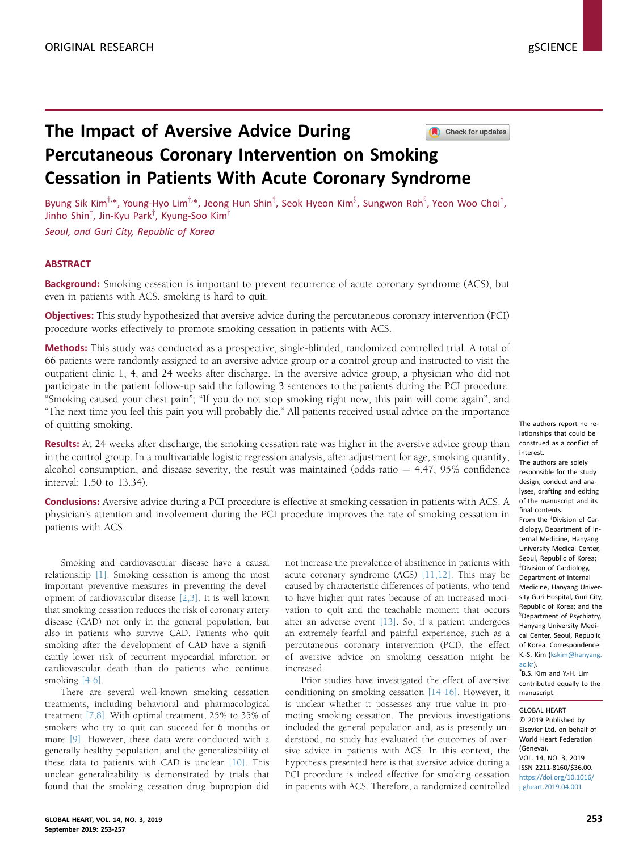# The Impact of Aversive Advice During Check for updates Percutaneous Coronary Intervention on Smoking Cessation in Patients With Acute Coronary Syndrome

Byung Sik Kim $^{\dagger,\ast}$ , Young-Hyo Lim $^{\dagger,\ast}$ , Jeong Hun Shin $^{\ddagger},$  Seok Hyeon Kim $^{\S}$ , Sungwon Roh $^{\S},$  Yeon Woo Choi $^{\dagger},$ Jinho Shin $^{\intercal}$ , Jin-Kyu Park $^{\intercal}$ , Kyung-Soo Kim $^{\intercal}$ 

Seoul, and Guri City, Republic of Korea

## **ABSTRACT**

**Background:** Smoking cessation is important to prevent recurrence of acute coronary syndrome (ACS), but even in patients with ACS, smoking is hard to quit.

Objectives: This study hypothesized that aversive advice during the percutaneous coronary intervention (PCI) procedure works effectively to promote smoking cessation in patients with ACS.

Methods: This study was conducted as a prospective, single-blinded, randomized controlled trial. A total of 66 patients were randomly assigned to an aversive advice group or a control group and instructed to visit the outpatient clinic 1, 4, and 24 weeks after discharge. In the aversive advice group, a physician who did not participate in the patient follow-up said the following 3 sentences to the patients during the PCI procedure: "Smoking caused your chest pain"; "If you do not stop smoking right now, this pain will come again"; and "The next time you feel this pain you will probably die." All patients received usual advice on the importance of quitting smoking.

Results: At 24 weeks after discharge, the smoking cessation rate was higher in the aversive advice group than in the control group. In a multivariable logistic regression analysis, after adjustment for age, smoking quantity, alcohol consumption, and disease severity, the result was maintained (odds ratio  $= 4.47, 95\%$  confidence interval: 1.50 to 13.34).

**Conclusions:** Aversive advice during a PCI procedure is effective at smoking cessation in patients with ACS. A physician's attention and involvement during the PCI procedure improves the rate of smoking cessation in patients with ACS.

Smoking and cardiovascular disease have a causal relationship [\[1\].](#page-4-0) Smoking cessation is among the most important preventive measures in preventing the development of cardiovascular disease [\[2,3\].](#page-4-0) It is well known that smoking cessation reduces the risk of coronary artery disease (CAD) not only in the general population, but also in patients who survive CAD. Patients who quit smoking after the development of CAD have a significantly lower risk of recurrent myocardial infarction or cardiovascular death than do patients who continue smoking [\[4-6\]](#page-4-0).

There are several well-known smoking cessation treatments, including behavioral and pharmacological treatment [\[7,8\].](#page-4-0) With optimal treatment, 25% to 35% of smokers who try to quit can succeed for 6 months or more [\[9\].](#page-4-0) However, these data were conducted with a generally healthy population, and the generalizability of these data to patients with CAD is unclear [\[10\].](#page-4-0) This unclear generalizability is demonstrated by trials that found that the smoking cessation drug bupropion did not increase the prevalence of abstinence in patients with acute coronary syndrome  $(ACS)$   $[11, 12]$ . This may be caused by characteristic differences of patients, who tend to have higher quit rates because of an increased motivation to quit and the teachable moment that occurs after an adverse event [\[13\].](#page-4-0) So, if a patient undergoes an extremely fearful and painful experience, such as a percutaneous coronary intervention (PCI), the effect of aversive advice on smoking cessation might be increased.

Prior studies have investigated the effect of aversive conditioning on smoking cessation [\[14-16\]](#page-4-0). However, it is unclear whether it possesses any true value in promoting smoking cessation. The previous investigations included the general population and, as is presently understood, no study has evaluated the outcomes of aversive advice in patients with ACS. In this context, the hypothesis presented here is that aversive advice during a PCI procedure is indeed effective for smoking cessation in patients with ACS. Therefore, a randomized controlled

The authors report no relationships that could be construed as a conflict of interest.

The authors are solely responsible for the study design, conduct and analyses, drafting and editing of the manuscript and its final contents.

From the <sup>T</sup>Division of Cardiology, Department of Internal Medicine, Hanyang University Medical Center, Seoul, Republic of Korea; <sup>‡</sup>Division of Cardiology, Department of Internal Medicine, Hanyang University Guri Hospital, Guri City, Republic of Korea; and the <sup>§</sup>Department of Psychiatry, Hanyang University Medical Center, Seoul, Republic of Korea. Correspondence: K.-S. Kim ([kskim@hanyang.](mailto:kskim@hanyang.ac.kr) [ac.kr\)](mailto:kskim@hanyang.ac.kr).

\* B.S. Kim and Y.-H. Lim contributed equally to the manuscript.

GLOBAL HEART © 2019 Published by Elsevier Ltd. on behalf of World Heart Federation (Geneva). VOL. 14, NO. 3, 2019 ISSN 2211-8160/\$36.00. [https://doi.org/10.1016/](https://doi.org/10.1016/j.gheart.2019.04.001) [j.gheart.2019.04.001](https://doi.org/10.1016/j.gheart.2019.04.001)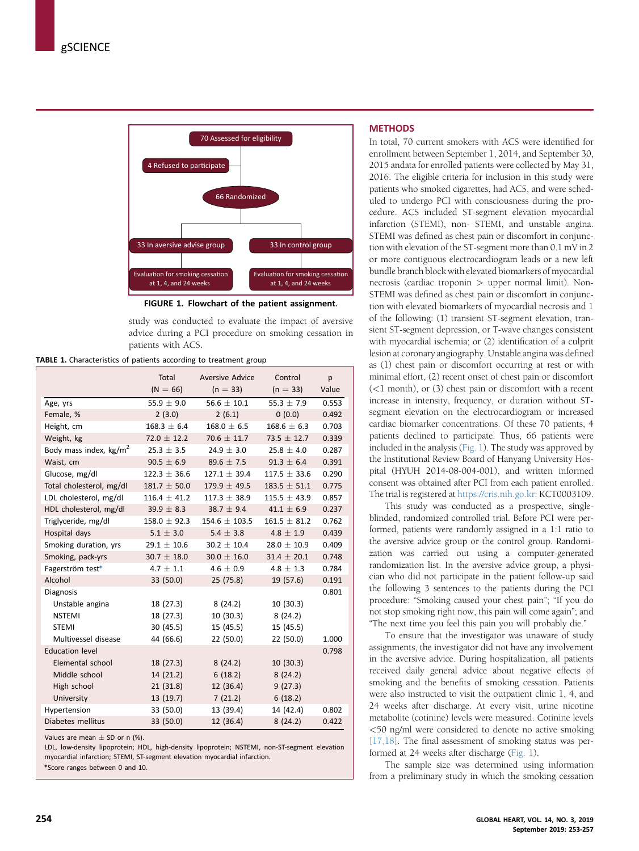<span id="page-1-0"></span>

FIGURE 1. Flowchart of the patient assignment.

study was conducted to evaluate the impact of aversive advice during a PCI procedure on smoking cessation in patients with ACS.

TABLE 1. Characteristics of patients according to treatment group

|                          | Total<br>$(N = 66)$ | <b>Aversive Advice</b><br>$(n = 33)$ | Control<br>$(n = 33)$ | p<br>Value |
|--------------------------|---------------------|--------------------------------------|-----------------------|------------|
| Age, yrs                 | 55.9 $\pm$ 9.0      | $56.6 + 10.1$                        | $55.3 + 7.9$          | 0.553      |
| Female, %                | 2(3.0)              | 2(6.1)                               | 0(0.0)                | 0.492      |
| Height, cm               | $168.3 \pm 6.4$     | $168.0 \pm 6.5$                      | $168.6 \pm 6.3$       | 0.703      |
| Weight, kg               | $72.0 \pm 12.2$     | $70.6 \pm 11.7$                      | $73.5 \pm 12.7$       | 0.339      |
| Body mass index, $kg/m2$ | $25.3 \pm 3.5$      | $24.9 \pm 3.0$                       | $25.8 \pm 4.0$        | 0.287      |
| Waist, cm                | $90.5 \pm 6.9$      | $89.6 \pm 7.5$                       | $91.3 \pm 6.4$        | 0.391      |
| Glucose, mg/dl           | $122.3 \pm 36.6$    | $127.1 + 39.4$                       | $117.5 + 33.6$        | 0.290      |
| Total cholesterol, mg/dl | $181.7 \pm 50.0$    | $179.9 \pm 49.5$                     | $183.5 \pm 51.1$      | 0.775      |
| LDL cholesterol, mg/dl   | $116.4 \pm 41.2$    | $117.3 \pm 38.9$                     | $115.5 \pm 43.9$      | 0.857      |
| HDL cholesterol, mg/dl   | $39.9 \pm 8.3$      | $38.7 \pm 9.4$                       | $41.1 \pm 6.9$        | 0.237      |
| Triglyceride, mg/dl      | $158.0 \pm 92.3$    | $154.6 \pm 103.5$                    | $161.5 \pm 81.2$      | 0.762      |
| Hospital days            | $5.1 \pm 3.0$       | $5.4 \pm 3.8$                        | $4.8 \pm 1.9$         | 0.439      |
| Smoking duration, yrs    | $29.1 \pm 10.6$     | $30.2 \pm 10.4$                      | $28.0 \pm 10.9$       | 0.409      |
| Smoking, pack-yrs        | $30.7 \pm 18.0$     | $30.0 \pm 16.0$                      | $31.4 \pm 20.1$       | 0.748      |
| Fagerström test*         | $4.7 \pm 1.1$       | $4.6 \pm 0.9$                        | $4.8 \pm 1.3$         | 0.784      |
| Alcohol                  | 33 (50.0)           | 25 (75.8)                            | 19 (57.6)             | 0.191      |
| Diagnosis                |                     |                                      |                       | 0.801      |
| Unstable angina          | 18 (27.3)           | 8(24.2)                              | 10(30.3)              |            |
| <b>NSTEMI</b>            | 18(27.3)            | 10(30.3)                             | 8(24.2)               |            |
| <b>STEMI</b>             | 30(45.5)            | 15 (45.5)                            | 15 (45.5)             |            |
| Multivessel disease      | 44 (66.6)           | 22 (50.0)                            | 22 (50.0)             | 1.000      |
| <b>Education level</b>   |                     |                                      |                       | 0.798      |
| Elemental school         | 18(27.3)            | 8(24.2)                              | 10(30.3)              |            |
| Middle school            | 14(21.2)            | 6(18.2)                              | 8(24.2)               |            |
| High school              | 21(31.8)            | 12 (36.4)                            | 9(27.3)               |            |
| University               | 13(19.7)            | 7(21.2)                              | 6(18.2)               |            |
| Hypertension             | 33 (50.0)           | 13 (39.4)                            | 14 (42.4)             | 0.802      |
| Diabetes mellitus        | 33 (50.0)           | 12 (36.4)                            | 8(24.2)               | 0.422      |

Values are mean  $\pm$  SD or n (%).

LDL, low-density lipoprotein; HDL, high-density lipoprotein; NSTEMI, non-ST-segment elevation myocardial infarction; STEMI, ST-segment elevation myocardial infarction.

\*Score ranges between 0 and 10.

#### **METHODS**

In total, 70 current smokers with ACS were identified for enrollment between September 1, 2014, and September 30, 2015 andata for enrolled patients were collected by May 31, 2016. The eligible criteria for inclusion in this study were patients who smoked cigarettes, had ACS, and were scheduled to undergo PCI with consciousness during the procedure. ACS included ST-segment elevation myocardial infarction (STEMI), non- STEMI, and unstable angina. STEMI was defined as chest pain or discomfort in conjunction with elevation of the ST-segment more than 0.1 mV in 2 or more contiguous electrocardiogram leads or a new left bundle branch block with elevated biomarkers of myocardial necrosis (cardiac troponin > upper normal limit). Non-STEMI was defined as chest pain or discomfort in conjunction with elevated biomarkers of myocardial necrosis and 1 of the following: (1) transient ST-segment elevation, transient ST-segment depression, or T-wave changes consistent with myocardial ischemia; or (2) identification of a culprit lesion at coronary angiography. Unstable angina was defined as (1) chest pain or discomfort occurring at rest or with minimal effort, (2) recent onset of chest pain or discomfort  $(<1$  month), or  $(3)$  chest pain or discomfort with a recent increase in intensity, frequency, or duration without STsegment elevation on the electrocardiogram or increased cardiac biomarker concentrations. Of these 70 patients, 4 patients declined to participate. Thus, 66 patients were included in the analysis (Fig. 1). The study was approved by the Institutional Review Board of Hanyang University Hospital (HYUH 2014-08-004-001), and written informed consent was obtained after PCI from each patient enrolled. The trial is registered at [https://cris.nih.go.kr:](https://cris.nih.go.kr) KCT0003109.

This study was conducted as a prospective, singleblinded, randomized controlled trial. Before PCI were performed, patients were randomly assigned in a 1:1 ratio to the aversive advice group or the control group. Randomization was carried out using a computer-generated randomization list. In the aversive advice group, a physician who did not participate in the patient follow-up said the following 3 sentences to the patients during the PCI procedure: "Smoking caused your chest pain"; "If you do not stop smoking right now, this pain will come again"; and "The next time you feel this pain you will probably die."

To ensure that the investigator was unaware of study assignments, the investigator did not have any involvement in the aversive advice. During hospitalization, all patients received daily general advice about negative effects of smoking and the benefits of smoking cessation. Patients were also instructed to visit the outpatient clinic 1, 4, and 24 weeks after discharge. At every visit, urine nicotine metabolite (cotinine) levels were measured. Cotinine levels <50 ng/ml were considered to denote no active smoking [\[17,18\].](#page-4-0) The final assessment of smoking status was performed at 24 weeks after discharge (Fig. 1).

The sample size was determined using information from a preliminary study in which the smoking cessation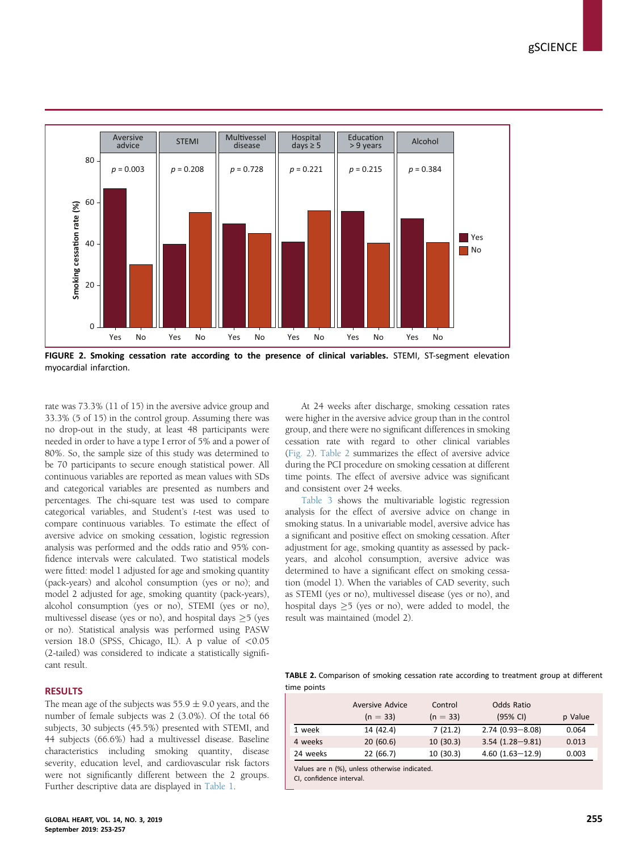<span id="page-2-0"></span>

FIGURE 2. Smoking cessation rate according to the presence of clinical variables. STEMI, ST-segment elevation myocardial infarction.

rate was 73.3% (11 of 15) in the aversive advice group and 33.3% (5 of 15) in the control group. Assuming there was no drop-out in the study, at least 48 participants were needed in order to have a type I error of 5% and a power of 80%. So, the sample size of this study was determined to be 70 participants to secure enough statistical power. All continuous variables are reported as mean values with SDs and categorical variables are presented as numbers and percentages. The chi-square test was used to compare categorical variables, and Student's t-test was used to compare continuous variables. To estimate the effect of aversive advice on smoking cessation, logistic regression analysis was performed and the odds ratio and 95% confidence intervals were calculated. Two statistical models were fitted: model 1 adjusted for age and smoking quantity (pack-years) and alcohol consumption (yes or no); and model 2 adjusted for age, smoking quantity (pack-years), alcohol consumption (yes or no), STEMI (yes or no), multivessel disease (yes or no), and hospital days  $\geq$  5 (yes or no). Statistical analysis was performed using PASW version 18.0 (SPSS, Chicago, IL). A p value of  $< 0.05$ (2-tailed) was considered to indicate a statistically significant result.

## **RESULTS**

The mean age of the subjects was  $55.9 \pm 9.0$  years, and the number of female subjects was 2 (3.0%). Of the total 66 subjects, 30 subjects (45.5%) presented with STEMI, and 44 subjects (66.6%) had a multivessel disease. Baseline characteristics including smoking quantity, disease severity, education level, and cardiovascular risk factors were not significantly different between the 2 groups. Further descriptive data are displayed in [Table 1.](#page-1-0)

At 24 weeks after discharge, smoking cessation rates were higher in the aversive advice group than in the control group, and there were no significant differences in smoking cessation rate with regard to other clinical variables (Fig. 2). Table 2 summarizes the effect of aversive advice during the PCI procedure on smoking cessation at different time points. The effect of aversive advice was significant and consistent over 24 weeks.

[Table 3](#page-3-0) shows the multivariable logistic regression analysis for the effect of aversive advice on change in smoking status. In a univariable model, aversive advice has a significant and positive effect on smoking cessation. After adjustment for age, smoking quantity as assessed by packyears, and alcohol consumption, aversive advice was determined to have a significant effect on smoking cessation (model 1). When the variables of CAD severity, such as STEMI (yes or no), multivessel disease (yes or no), and hospital days  $\geq$  5 (yes or no), were added to model, the result was maintained (model 2).

TABLE 2. Comparison of smoking cessation rate according to treatment group at different time points

|          | <b>Aversive Advice</b> | Control    | Odds Ratio          |         |
|----------|------------------------|------------|---------------------|---------|
|          | $(n = 33)$             | $(n = 33)$ | (95% CI)            | p Value |
| 1 week   | 14 (42.4)              | 7(21.2)    | $2.74(0.93 - 8.08)$ | 0.064   |
| 4 weeks  | 20(60.6)               | 10(30.3)   | $3.54(1.28 - 9.81)$ | 0.013   |
| 24 weeks | 22 (66.7)              | 10(30.3)   | $4.60(1.63 - 12.9)$ | 0.003   |

Values are n (%), unless otherwise indicated.

CI, confidence interval.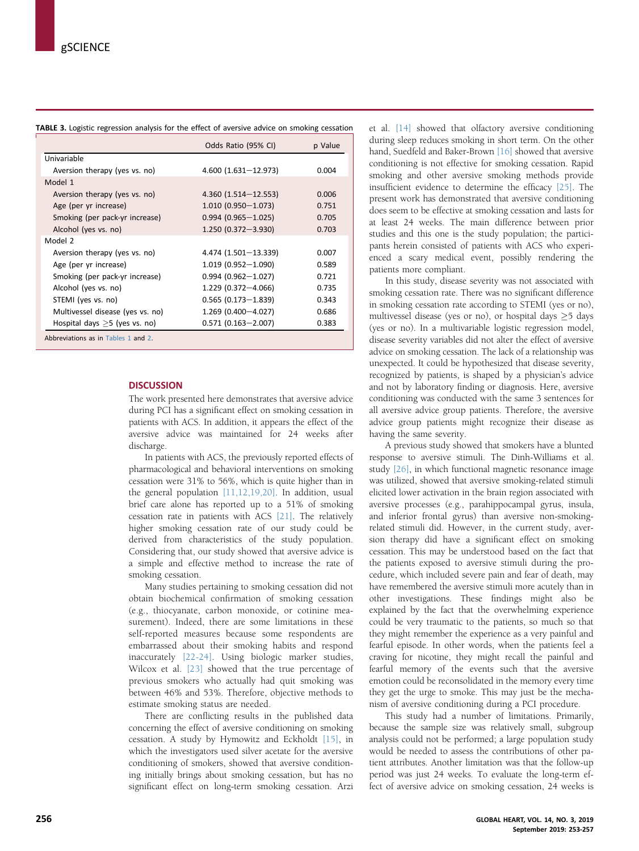<span id="page-3-0"></span>

| TABLE 3. Logistic regression analysis for the effect of aversive advice on smoking cessation |  |
|----------------------------------------------------------------------------------------------|--|
|----------------------------------------------------------------------------------------------|--|

|                                     | Odds Ratio (95% CI)       | p Value |  |  |  |
|-------------------------------------|---------------------------|---------|--|--|--|
| Univariable                         |                           |         |  |  |  |
| Aversion therapy (yes vs. no)       | $4.600(1.631 - 12.973)$   | 0.004   |  |  |  |
| Model 1                             |                           |         |  |  |  |
| Aversion therapy (yes vs. no)       | $4.360(1.514 - 12.553)$   | 0.006   |  |  |  |
| Age (per yr increase)               | $1.010(0.950 - 1.073)$    | 0.751   |  |  |  |
| Smoking (per pack-yr increase)      | $0.994(0.965 - 1.025)$    | 0.705   |  |  |  |
| Alcohol (yes vs. no)                | $1.250(0.372 - 3.930)$    | 0.703   |  |  |  |
| Model 2                             |                           |         |  |  |  |
| Aversion therapy (yes vs. no)       | $4.474(1.501 - 13.339)$   | 0.007   |  |  |  |
| Age (per yr increase)               | $1.019(0.952 - 1.090)$    | 0.589   |  |  |  |
| Smoking (per pack-yr increase)      | $0.994(0.962 - 1.027)$    | 0.721   |  |  |  |
| Alcohol (yes vs. no)                | $1.229$ (0.372-4.066)     | 0.735   |  |  |  |
| STEMI (yes vs. no)                  | $0.565(0.173 - 1.839)$    | 0.343   |  |  |  |
| Multivessel disease (yes vs. no)    | $1.269$ (0.400 $-4.027$ ) | 0.686   |  |  |  |
| Hospital days $>5$ (yes vs. no)     | $0.571(0.163 - 2.007)$    | 0.383   |  |  |  |
| Abbreviations as in Tables 1 and 2. |                           |         |  |  |  |

#### **DISCUSSION**

The work presented here demonstrates that aversive advice during PCI has a significant effect on smoking cessation in patients with ACS. In addition, it appears the effect of the aversive advice was maintained for 24 weeks after discharge.

In patients with ACS, the previously reported effects of pharmacological and behavioral interventions on smoking cessation were 31% to 56%, which is quite higher than in the general population [\[11,12,19,20\].](#page-4-0) In addition, usual brief care alone has reported up to a 51% of smoking cessation rate in patients with ACS [\[21\].](#page-4-0) The relatively higher smoking cessation rate of our study could be derived from characteristics of the study population. Considering that, our study showed that aversive advice is a simple and effective method to increase the rate of smoking cessation.

Many studies pertaining to smoking cessation did not obtain biochemical confirmation of smoking cessation (e.g., thiocyanate, carbon monoxide, or cotinine measurement). Indeed, there are some limitations in these self-reported measures because some respondents are embarrassed about their smoking habits and respond inaccurately [\[22-24\].](#page-4-0) Using biologic marker studies, Wilcox et al. [\[23\]](#page-4-0) showed that the true percentage of previous smokers who actually had quit smoking was between 46% and 53%. Therefore, objective methods to estimate smoking status are needed.

There are conflicting results in the published data concerning the effect of aversive conditioning on smoking cessation. A study by Hymowitz and Eckholdt [\[15\],](#page-4-0) in which the investigators used silver acetate for the aversive conditioning of smokers, showed that aversive conditioning initially brings about smoking cessation, but has no significant effect on long-term smoking cessation. Arzi

et al. [\[14\]](#page-4-0) showed that olfactory aversive conditioning during sleep reduces smoking in short term. On the other hand, Suedfeld and Baker-Brown [\[16\]](#page-4-0) showed that aversive conditioning is not effective for smoking cessation. Rapid smoking and other aversive smoking methods provide insufficient evidence to determine the efficacy [\[25\].](#page-4-0) The present work has demonstrated that aversive conditioning does seem to be effective at smoking cessation and lasts for at least 24 weeks. The main difference between prior studies and this one is the study population; the participants herein consisted of patients with ACS who experienced a scary medical event, possibly rendering the patients more compliant.

In this study, disease severity was not associated with smoking cessation rate. There was no significant difference in smoking cessation rate according to STEMI (yes or no), multivessel disease (yes or no), or hospital days  $\geq$  5 days (yes or no). In a multivariable logistic regression model, disease severity variables did not alter the effect of aversive advice on smoking cessation. The lack of a relationship was unexpected. It could be hypothesized that disease severity, recognized by patients, is shaped by a physician's advice and not by laboratory finding or diagnosis. Here, aversive conditioning was conducted with the same 3 sentences for all aversive advice group patients. Therefore, the aversive advice group patients might recognize their disease as having the same severity.

A previous study showed that smokers have a blunted response to aversive stimuli. The Dinh-Williams et al. study [\[26\]](#page-4-0), in which functional magnetic resonance image was utilized, showed that aversive smoking-related stimuli elicited lower activation in the brain region associated with aversive processes (e.g., parahippocampal gyrus, insula, and inferior frontal gyrus) than aversive non-smokingrelated stimuli did. However, in the current study, aversion therapy did have a significant effect on smoking cessation. This may be understood based on the fact that the patients exposed to aversive stimuli during the procedure, which included severe pain and fear of death, may have remembered the aversive stimuli more acutely than in other investigations. These findings might also be explained by the fact that the overwhelming experience could be very traumatic to the patients, so much so that they might remember the experience as a very painful and fearful episode. In other words, when the patients feel a craving for nicotine, they might recall the painful and fearful memory of the events such that the aversive emotion could be reconsolidated in the memory every time they get the urge to smoke. This may just be the mechanism of aversive conditioning during a PCI procedure.

This study had a number of limitations. Primarily, because the sample size was relatively small, subgroup analysis could not be performed; a large population study would be needed to assess the contributions of other patient attributes. Another limitation was that the follow-up period was just 24 weeks. To evaluate the long-term effect of aversive advice on smoking cessation, 24 weeks is